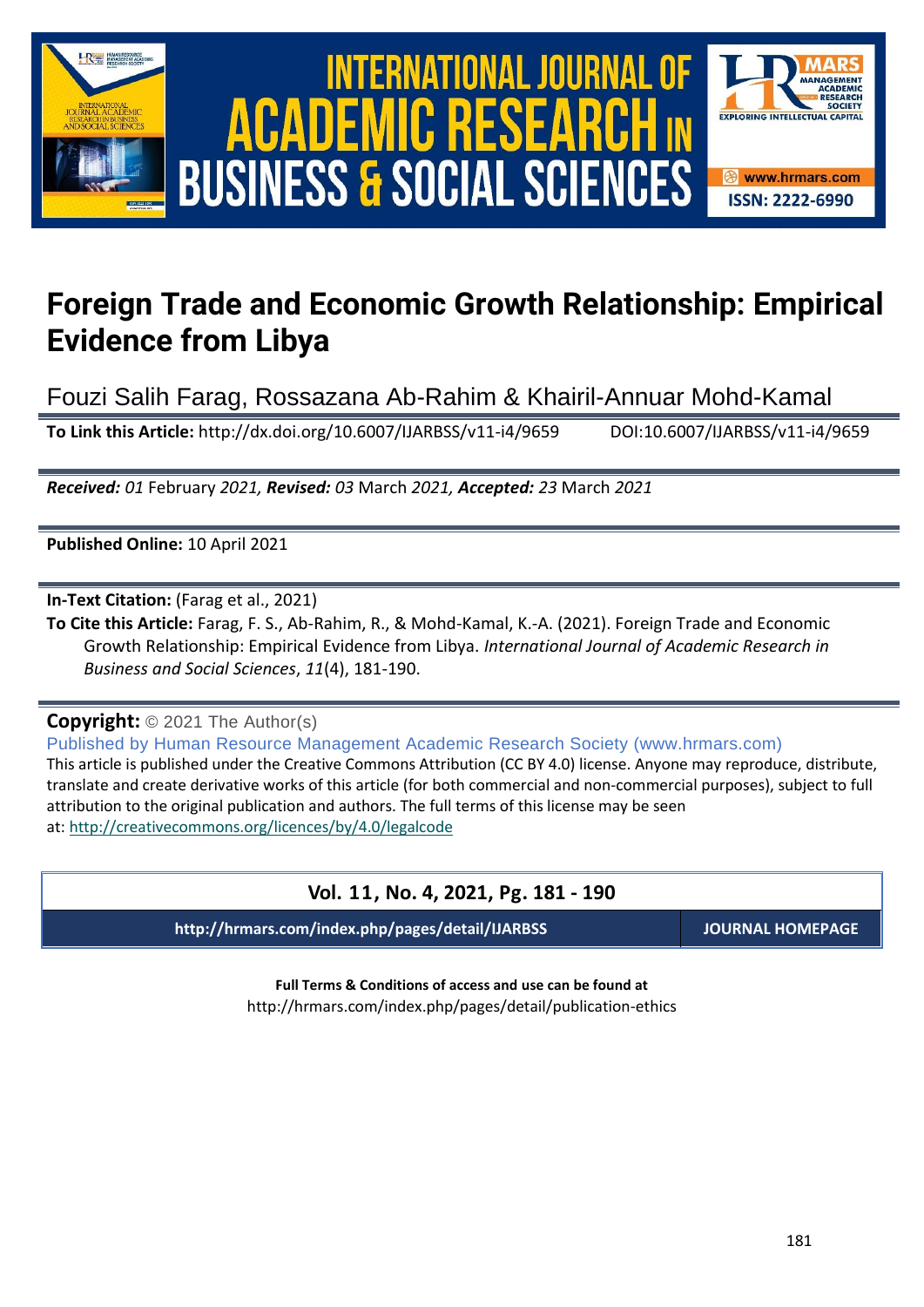

# International Journal of Academic Research in Business and Social Sciences **Vol. 1 1 , No. 4, 2021, E-ISSN: 2222-6990 © 2021 HRMARS ACADEMIC BUSINESS & SOCIAL SCIENCES**



# **Foreign Trade and Economic Growth Relationship: Empirical Evidence from Libya**

Fouzi Salih Farag, Rossazana Ab-Rahim & Khairil-Annuar Mohd-Kamal

**To Link this Article:** http://dx.doi.org/10.6007/IJARBSS/v11-i4/9659 DOI:10.6007/IJARBSS/v11-i4/9659

*Received: 01* February *2021, Revised: 03* March *2021, Accepted: 23* March *2021*

**Published Online:** 10 April 2021

**In-Text Citation:** (Farag et al., 2021)

**To Cite this Article:** Farag, F. S., Ab-Rahim, R., & Mohd-Kamal, K.-A. (2021). Foreign Trade and Economic Growth Relationship: Empirical Evidence from Libya. *International Journal of Academic Research in Business and Social Sciences*, *11*(4), 181-190.

# **Copyright:** © 2021 The Author(s)

Published by Human Resource Management Academic Research Society (www.hrmars.com) This article is published under the Creative Commons Attribution (CC BY 4.0) license. Anyone may reproduce, distribute, translate and create derivative works of this article (for both commercial and non-commercial purposes), subject to full attribution to the original publication and authors. The full terms of this license may be seen at: <http://creativecommons.org/licences/by/4.0/legalcode>

# **Vol. 11, No. 4, 2021, Pg. 181 - 190**

**http://hrmars.com/index.php/pages/detail/IJARBSS JOURNAL HOMEPAGE**

**Full Terms & Conditions of access and use can be found at** http://hrmars.com/index.php/pages/detail/publication-ethics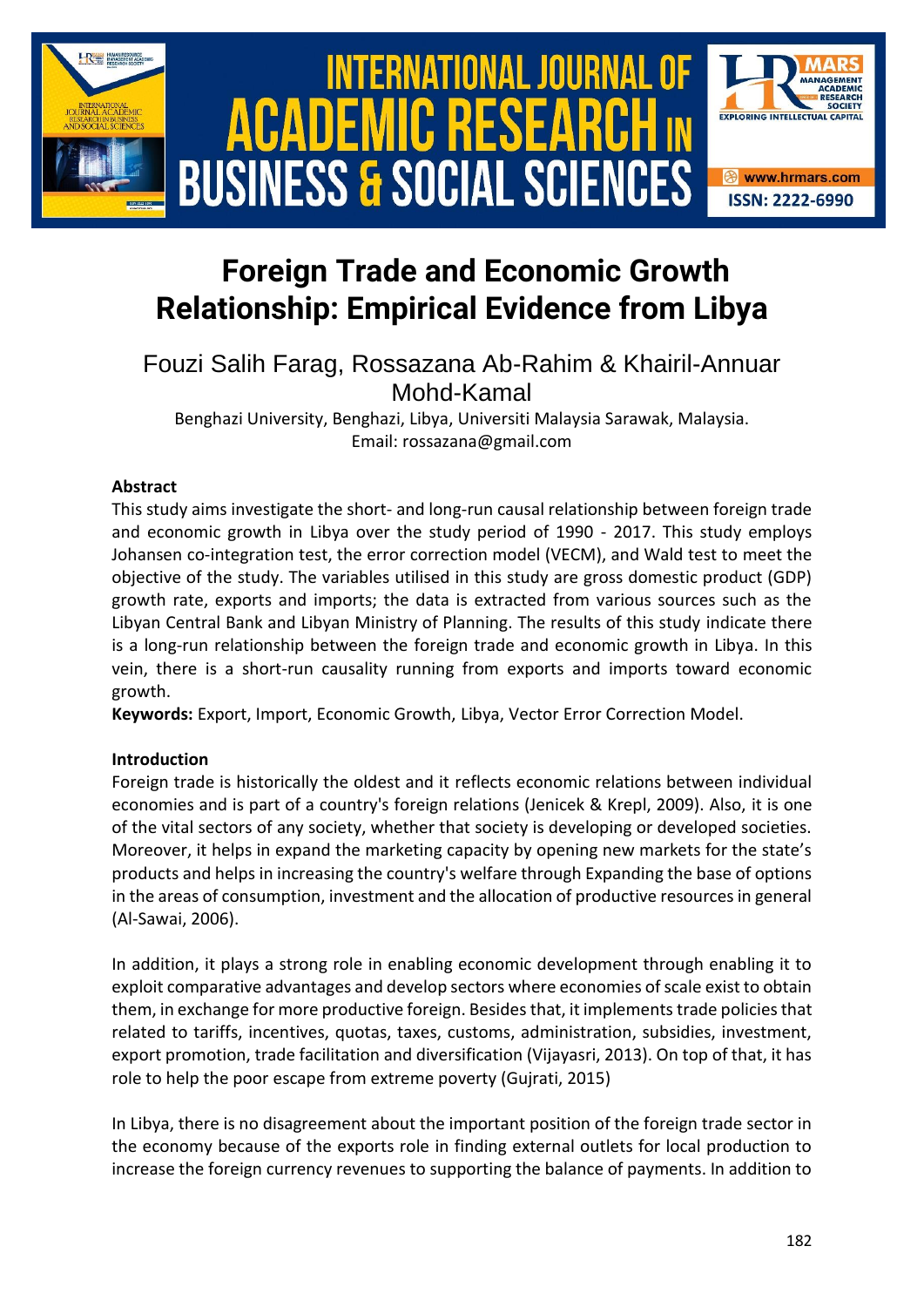

# **Foreign Trade and Economic Growth Relationship: Empirical Evidence from Libya**

# Fouzi Salih Farag, Rossazana Ab-Rahim & Khairil-Annuar Mohd-Kamal

Benghazi University, Benghazi, Libya, Universiti Malaysia Sarawak, Malaysia. Email: rossazana@gmail.com

## **Abstract**

This study aims investigate the short- and long-run causal relationship between foreign trade and economic growth in Libya over the study period of 1990 - 2017. This study employs Johansen co-integration test, the error correction model (VECM), and Wald test to meet the objective of the study. The variables utilised in this study are gross domestic product (GDP) growth rate, exports and imports; the data is extracted from various sources such as the Libyan Central Bank and Libyan Ministry of Planning. The results of this study indicate there is a long-run relationship between the foreign trade and economic growth in Libya. In this vein, there is a short-run causality running from exports and imports toward economic growth.

**Keywords:** Export, Import, Economic Growth, Libya, Vector Error Correction Model.

## **Introduction**

Foreign trade is historically the oldest and it reflects economic relations between individual economies and is part of a country's foreign relations (Jenicek & Krepl, 2009). Also, it is one of the vital sectors of any society, whether that society is developing or developed societies. Moreover, it helps in expand the marketing capacity by opening new markets for the state's products and helps in increasing the country's welfare through Expanding the base of options in the areas of consumption, investment and the allocation of productive resources in general (Al-Sawai, 2006).

In addition, it plays a strong role in enabling economic development through enabling it to exploit comparative advantages and develop sectors where economies of scale exist to obtain them, in exchange for more productive foreign. Besides that, it implements trade policies that related to tariffs, incentives, quotas, taxes, customs, administration, subsidies, investment, export promotion, trade facilitation and diversification (Vijayasri, 2013). On top of that, it has role to help the poor escape from extreme poverty (Gujrati, 2015)

In Libya, there is no disagreement about the important position of the foreign trade sector in the economy because of the exports role in finding external outlets for local production to increase the foreign currency revenues to supporting the balance of payments. In addition to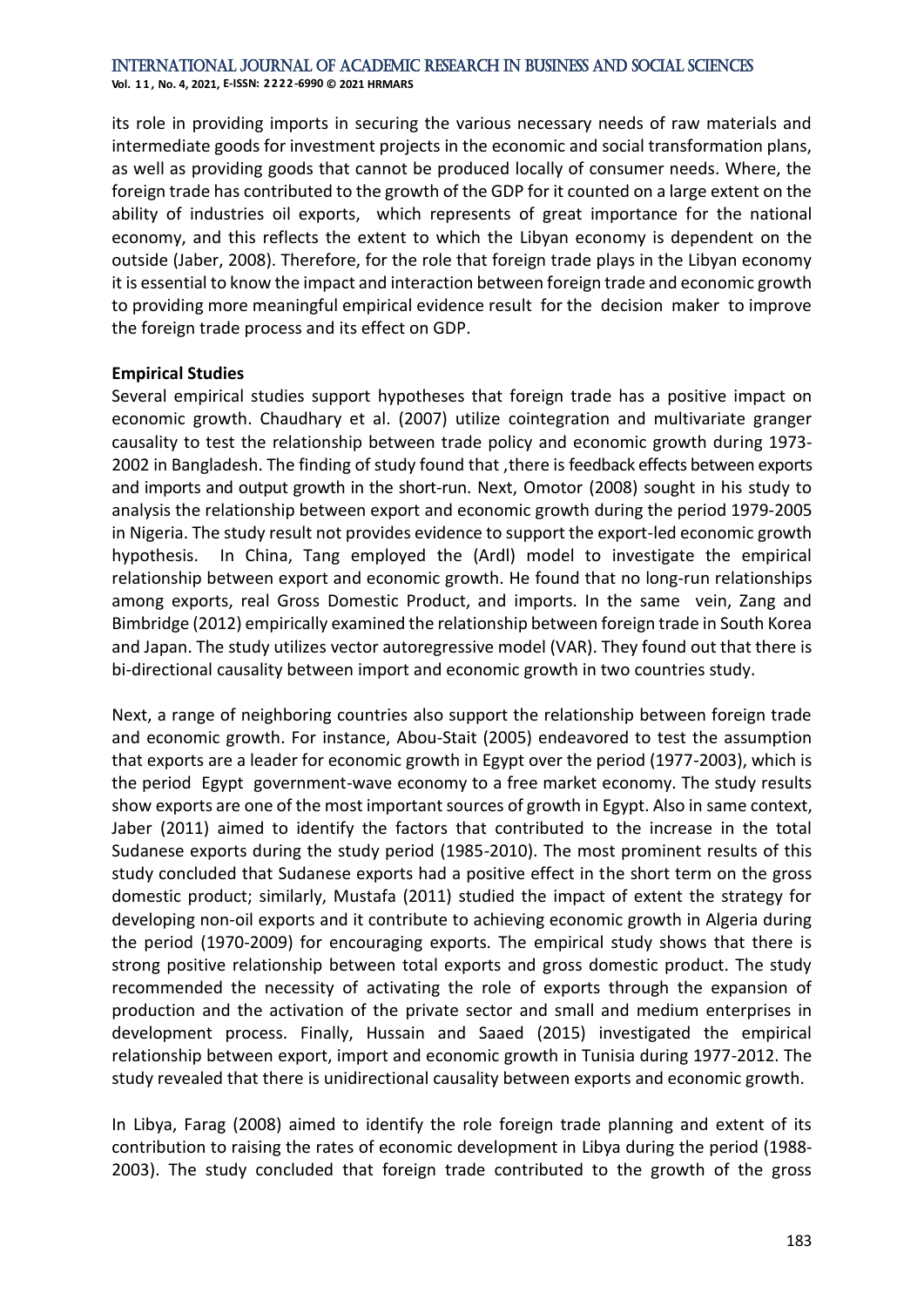**Vol. 1 1 , No. 4, 2021, E-ISSN: 2222-6990 © 2021 HRMARS**

its role in providing imports in securing the various necessary needs of raw materials and intermediate goods for investment projects in the economic and social transformation plans, as well as providing goods that cannot be produced locally of consumer needs. Where, the foreign trade has contributed to the growth of the GDP for it counted on a large extent on the ability of industries oil exports, which represents of great importance for the national economy, and this reflects the extent to which the Libyan economy is dependent on the outside (Jaber, 2008). Therefore, for the role that foreign trade plays in the Libyan economy it is essential to know the impact and interaction between foreign trade and economic growth to providing more meaningful empirical evidence result for the decision maker to improve the foreign trade process and its effect on GDP.

#### **Empirical Studies**

Several empirical studies support hypotheses that foreign trade has a positive impact on economic growth. Chaudhary et al. (2007) utilize cointegration and multivariate granger causality to test the relationship between trade policy and economic growth during 1973- 2002 in Bangladesh. The finding of study found that ,there is feedback effects between exports and imports and output growth in the short-run. Next, Omotor (2008) sought in his study to analysis the relationship between export and economic growth during the period 1979-2005 in Nigeria. The study result not provides evidence to support the export-led economic growth hypothesis. In China, Tang employed the (Ardl) model to investigate the empirical relationship between export and economic growth. He found that no long-run relationships among exports, real Gross Domestic Product, and imports. In the same vein, Zang and Bimbridge (2012) empirically examined the relationship between foreign trade in South Korea and Japan. The study utilizes vector autoregressive model (VAR). They found out that there is bi-directional causality between import and economic growth in two countries study.

Next, a range of neighboring countries also support the relationship between foreign trade and economic growth. For instance, Abou-Stait (2005) endeavored to test the assumption that exports are a leader for economic growth in Egypt over the period (1977-2003), which is the period Egypt government-wave economy to a free market economy. The study results show exports are one of the most important sources of growth in Egypt. Also in same context, Jaber (2011) aimed to identify the factors that contributed to the increase in the total Sudanese exports during the study period (1985-2010). The most prominent results of this study concluded that Sudanese exports had a positive effect in the short term on the gross domestic product; similarly, Mustafa (2011) studied the impact of extent the strategy for developing non-oil exports and it contribute to achieving economic growth in Algeria during the period (1970-2009) for encouraging exports. The empirical study shows that there is strong positive relationship between total exports and gross domestic product. The study recommended the necessity of activating the role of exports through the expansion of production and the activation of the private sector and small and medium enterprises in development process. Finally, Hussain and Saaed (2015) investigated the empirical relationship between export, import and economic growth in Tunisia during 1977-2012. The study revealed that there is unidirectional causality between exports and economic growth.

In Libya, Farag (2008) aimed to identify the role foreign trade planning and extent of its contribution to raising the rates of economic development in Libya during the period (1988- 2003). The study concluded that foreign trade contributed to the growth of the gross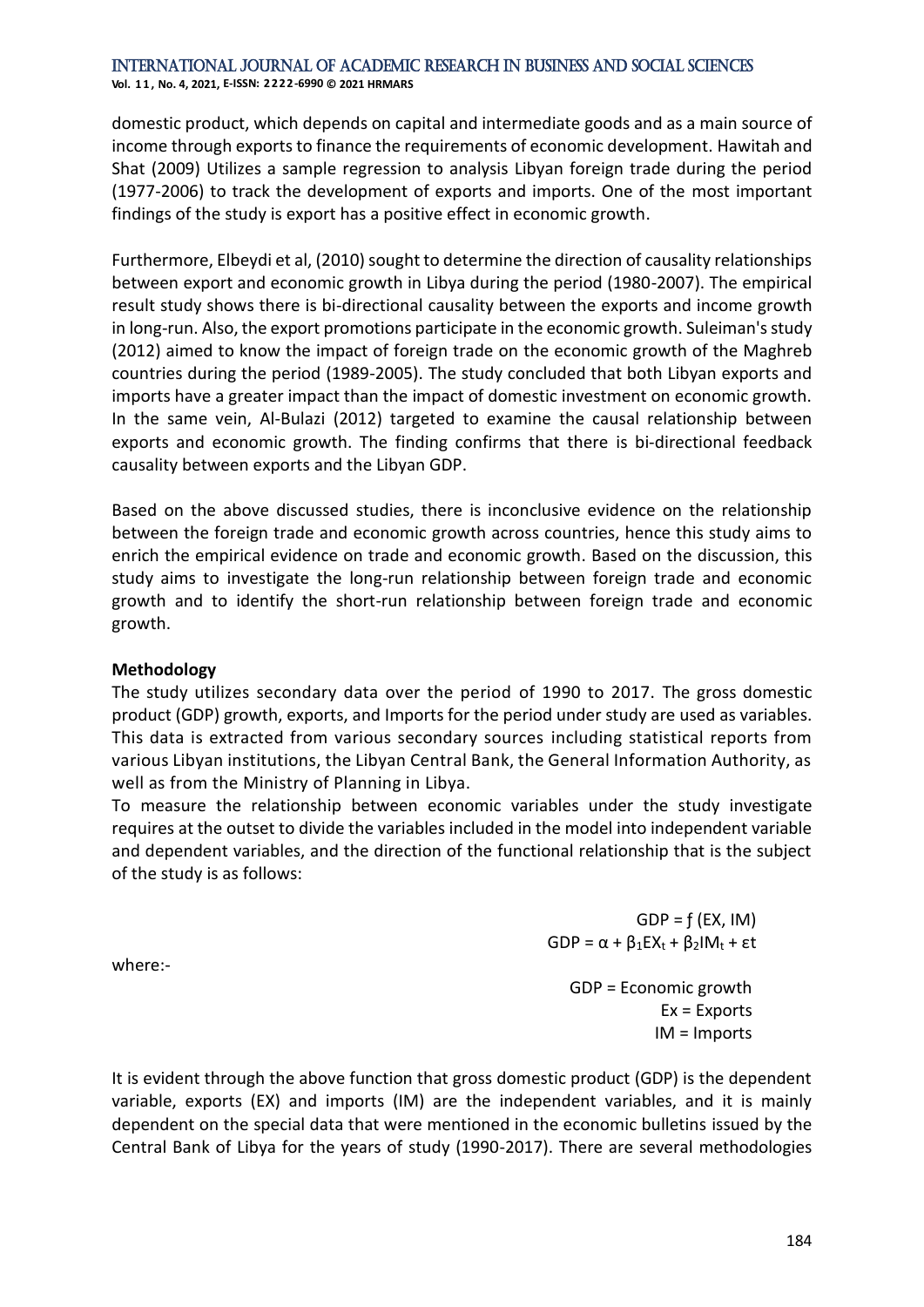**Vol. 1 1 , No. 4, 2021, E-ISSN: 2222-6990 © 2021 HRMARS**

domestic product, which depends on capital and intermediate goods and as a main source of income through exports to finance the requirements of economic development. Hawitah and Shat (2009) Utilizes a sample regression to analysis Libyan foreign trade during the period (1977-2006) to track the development of exports and imports. One of the most important findings of the study is export has a positive effect in economic growth.

Furthermore, Elbeydi et al, (2010) sought to determine the direction of causality relationships between export and economic growth in Libya during the period (1980-2007). The empirical result study shows there is bi-directional causality between the exports and income growth in long-run. Also, the export promotions participate in the economic growth. Suleiman's study (2012) aimed to know the impact of foreign trade on the economic growth of the Maghreb countries during the period (1989-2005). The study concluded that both Libyan exports and imports have a greater impact than the impact of domestic investment on economic growth. In the same vein, Al-Bulazi (2012) targeted to examine the causal relationship between exports and economic growth. The finding confirms that there is bi-directional feedback causality between exports and the Libyan GDP.

Based on the above discussed studies, there is inconclusive evidence on the relationship between the foreign trade and economic growth across countries, hence this study aims to enrich the empirical evidence on trade and economic growth. Based on the discussion, this study aims to investigate the long-run relationship between foreign trade and economic growth and to identify the short-run relationship between foreign trade and economic growth.

#### **Methodology**

The study utilizes secondary data over the period of 1990 to 2017. The gross domestic product (GDP) growth, exports, and Imports for the period under study are used as variables. This data is extracted from various secondary sources including statistical reports from various Libyan institutions, the Libyan Central Bank, the General Information Authority, as well as from the Ministry of Planning in Libya.

To measure the relationship between economic variables under the study investigate requires at the outset to divide the variables included in the model into independent variable and dependent variables, and the direction of the functional relationship that is the subject of the study is as follows:

> $GDP = f (EX, IM)$ GDP =  $\alpha$  +  $\beta_1$ EX<sub>t</sub> +  $\beta_2$ IM<sub>t</sub> + εt GDP = Economic growth Ex = Exports IM = Imports

where:-

It is evident through the above function that gross domestic product (GDP) is the dependent variable, exports (EX) and imports (IM) are the independent variables, and it is mainly dependent on the special data that were mentioned in the economic bulletins issued by the Central Bank of Libya for the years of study (1990-2017). There are several methodologies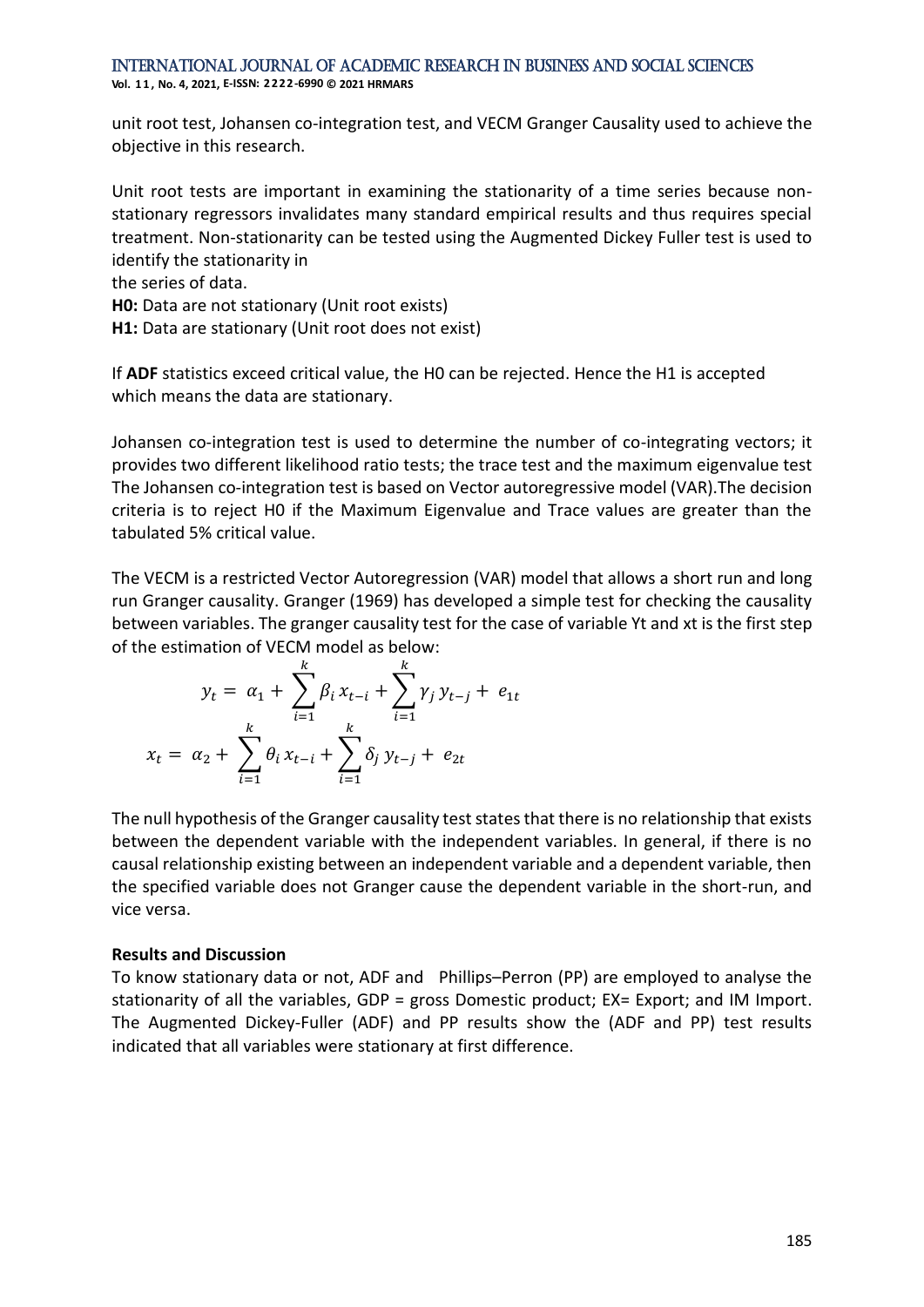**Vol. 1 1 , No. 4, 2021, E-ISSN: 2222-6990 © 2021 HRMARS**

unit root test, Johansen co-integration test, and VECM Granger Causality used to achieve the objective in this research.

Unit root tests are important in examining the stationarity of a time series because nonstationary regressors invalidates many standard empirical results and thus requires special treatment. Non-stationarity can be tested using the Augmented Dickey Fuller test is used to identify the stationarity in

the series of data.

**H0:** Data are not stationary (Unit root exists)

**H1:** Data are stationary (Unit root does not exist)

If **ADF** statistics exceed critical value, the H0 can be rejected. Hence the H1 is accepted which means the data are stationary.

Johansen co-integration test is used to determine the number of co-integrating vectors; it provides two different likelihood ratio tests; the trace test and the maximum eigenvalue test The Johansen co-integration test is based on Vector autoregressive model (VAR).The decision criteria is to reject H0 if the Maximum Eigenvalue and Trace values are greater than the tabulated 5% critical value.

The VECM is a restricted Vector Autoregression (VAR) model that allows a short run and long run Granger causality. Granger (1969) has developed a simple test for checking the causality between variables. The granger causality test for the case of variable Yt and xt is the first step of the estimation of VECM model as below:

$$
y_{t} = \alpha_{1} + \sum_{i=1}^{k} \beta_{i} x_{t-i} + \sum_{i=1}^{k} \gamma_{j} y_{t-j} + e_{1t}
$$

$$
x_{t} = \alpha_{2} + \sum_{i=1}^{k} \theta_{i} x_{t-i} + \sum_{i=1}^{k} \delta_{j} y_{t-j} + e_{2t}
$$

The null hypothesis of the Granger causality test states that there is no relationship that exists between the dependent variable with the independent variables. In general, if there is no causal relationship existing between an independent variable and a dependent variable, then the specified variable does not Granger cause the dependent variable in the short-run, and vice versa.

#### **Results and Discussion**

To know stationary data or not, ADF and Phillips–Perron (PP) are employed to analyse the stationarity of all the variables, GDP = gross Domestic product; EX= Export; and IM Import. The Augmented Dickey-Fuller (ADF) and PP results show the (ADF and PP) test results indicated that all variables were stationary at first difference.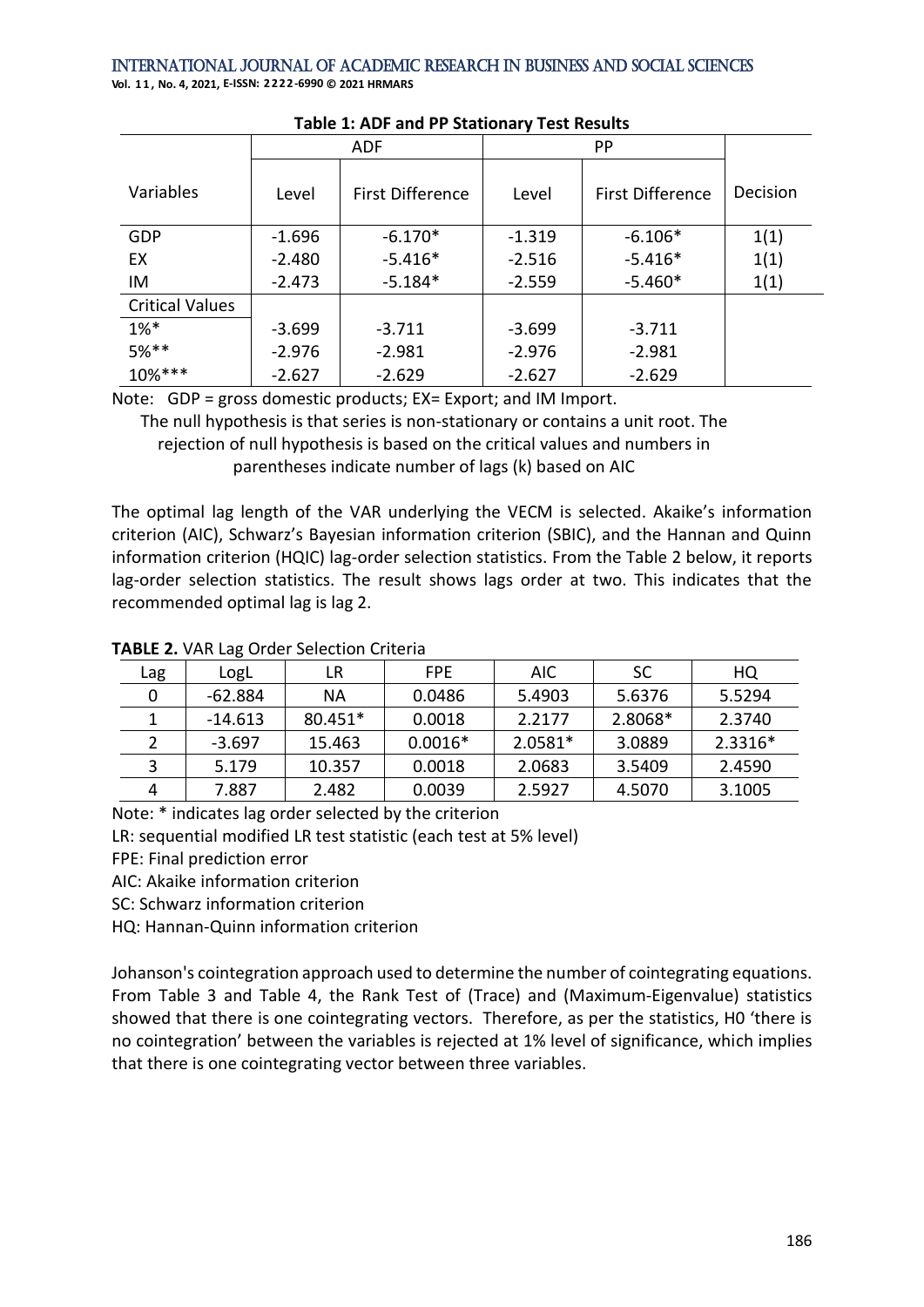International Journal of Academic Research in Business and Social Sciences **Vol. 1 1 , No. 4, 2021, E-ISSN: 2222-6990 © 2021 HRMARS**

|                        |          | <b>ADF</b>              | PP       |                         |          |
|------------------------|----------|-------------------------|----------|-------------------------|----------|
| Variables              | Level    | <b>First Difference</b> | Level    | <b>First Difference</b> | Decision |
| GDP                    | $-1.696$ | $-6.170*$               | $-1.319$ | $-6.106*$               | 1(1)     |
| EX                     | $-2.480$ | $-5.416*$               | $-2.516$ | $-5.416*$               | 1(1)     |
| IM                     | $-2.473$ | $-5.184*$               | $-2.559$ | $-5.460*$               | 1(1)     |
| <b>Critical Values</b> |          |                         |          |                         |          |
| $1\%*$                 | $-3.699$ | $-3.711$                | $-3.699$ | $-3.711$                |          |
| $5%$ **                | $-2.976$ | $-2.981$                | $-2.976$ | $-2.981$                |          |
| $10\%***$              | $-2.627$ | $-2.629$                | $-2.627$ | $-2.629$                |          |

#### **Table 1: ADF and PP Stationary Test Results**

Note: GDP = gross domestic products; EX= Export; and IM Import.

The null hypothesis is that series is non-stationary or contains a unit root. The rejection of null hypothesis is based on the critical values and numbers in parentheses indicate number of lags (k) based on AIC

The optimal lag length of the VAR underlying the VECM is selected. Akaike's information criterion (AIC), Schwarz's Bayesian information criterion (SBIC), and the Hannan and Quinn information criterion (HQIC) lag-order selection statistics. From the Table 2 below, it reports lag-order selection statistics. The result shows lags order at two. This indicates that the recommended optimal lag is lag 2.

| Lag | LogL      | LR        | FPE.      | AIC.    | <b>SC</b> | HQ      |
|-----|-----------|-----------|-----------|---------|-----------|---------|
|     | -62.884   | NА        | 0.0486    | 5.4903  | 5.6376    | 5.5294  |
|     | $-14.613$ | $80.451*$ | 0.0018    | 2.2177  | 2.8068*   | 2.3740  |
|     | $-3.697$  | 15.463    | $0.0016*$ | 2.0581* | 3.0889    | 2.3316* |
|     | 5.179     | 10.357    | 0.0018    | 2.0683  | 3.5409    | 2.4590  |
| 4   | 7.887     | 2.482     | 0.0039    | 2.5927  | 4.5070    | 3.1005  |

### **TABLE 2.** VAR Lag Order Selection Criteria

Note: \* indicates lag order selected by the criterion

LR: sequential modified LR test statistic (each test at 5% level)

FPE: Final prediction error

AIC: Akaike information criterion

SC: Schwarz information criterion

HQ: Hannan-Quinn information criterion

Johanson's cointegration approach used to determine the number of cointegrating equations. From Table 3 and Table 4, the Rank Test of (Trace) and (Maximum-Eigenvalue) statistics showed that there is one cointegrating vectors. Therefore, as per the statistics, H0 'there is no cointegration' between the variables is rejected at 1% level of significance, which implies that there is one cointegrating vector between three variables.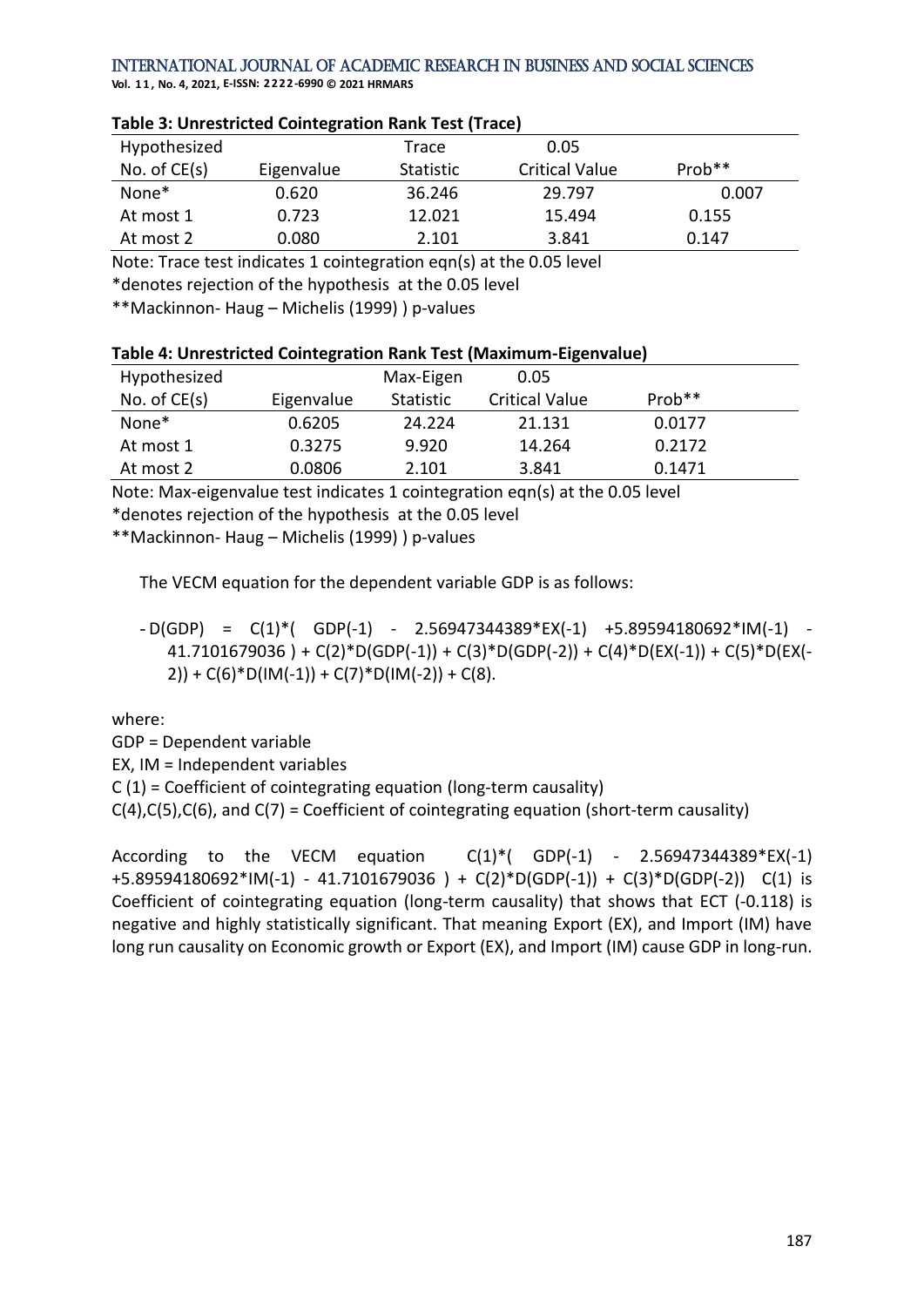**Vol. 1 1 , No. 4, 2021, E-ISSN: 2222-6990 © 2021 HRMARS**

| Hypothesized      |            | Trace     | 0.05                  |          |  |  |
|-------------------|------------|-----------|-----------------------|----------|--|--|
| No. of $CE(s)$    | Eigenvalue | Statistic | <b>Critical Value</b> | $Prob**$ |  |  |
| None <sup>*</sup> | 0.620      | 36.246    | 29.797                | 0.007    |  |  |
| At most 1         | 0.723      | 12.021    | 15.494                | 0.155    |  |  |
| At most 2         | 0.080      | 2.101     | 3.841                 | 0.147    |  |  |

#### **Table 3: Unrestricted Cointegration Rank Test (Trace)**

Note: Trace test indicates 1 cointegration eqn(s) at the 0.05 level

\*denotes rejection of the hypothesis at the 0.05 level

\*\*Mackinnon- Haug – Michelis (1999) ) p-values

| Table 4: Unrestricted Cointegration Rank Test (Maximum-Eigenvalue) |  |
|--------------------------------------------------------------------|--|
|--------------------------------------------------------------------|--|

| Hypothesized      |            | Max-Eigen | 0.05                  |                    |  |
|-------------------|------------|-----------|-----------------------|--------------------|--|
| No. of $CE(s)$    | Eigenvalue | Statistic | <b>Critical Value</b> | Prob <sup>**</sup> |  |
| None <sup>*</sup> | 0.6205     | 24.224    | 21.131                | 0.0177             |  |
| At most 1         | 0.3275     | 9.920     | 14.264                | 0.2172             |  |
| At most 2         | 0.0806     | 2.101     | 3.841                 | 0.1471             |  |

Note: Max-eigenvalue test indicates 1 cointegration eqn(s) at the 0.05 level

\*denotes rejection of the hypothesis at the 0.05 level

\*\*Mackinnon- Haug – Michelis (1999) ) p-values

The VECM equation for the dependent variable GDP is as follows:

 $-D(GDP) = C(1)^{*}$  (GDP(-1) - 2.56947344389\*EX(-1) +5.89594180692\*IM(-1) - $41.7101679036$  ) + C(2)\*D(GDP(-1)) + C(3)\*D(GDP(-2)) + C(4)\*D(EX(-1)) + C(5)\*D(EX(-2)) +  $C(6)^*D(IM(-1))$  +  $C(7)^*D(IM(-2))$  +  $C(8)$ .

where:

GDP = Dependent variable

EX, IM = Independent variables

C (1) = Coefficient of cointegrating equation (long-term causality)

 $C(4)$ , $C(5)$ , $C(6)$ , and  $C(7)$  = Coefficient of cointegrating equation (short-term causality)

According to the VECM equation  $C(1)^{*}$ ( GDP $(-1)$  - 2.56947344389 $*$ EX $(-1)$ +5.89594180692\*IM(-1) - 41.7101679036 ) + C(2)\*D(GDP(-1)) + C(3)\*D(GDP(-2)) C(1) is Coefficient of cointegrating equation (long-term causality) that shows that ECT (-0.118) is negative and highly statistically significant. That meaning Export (EX), and Import (IM) have long run causality on Economic growth or Export (EX), and Import (IM) cause GDP in long-run.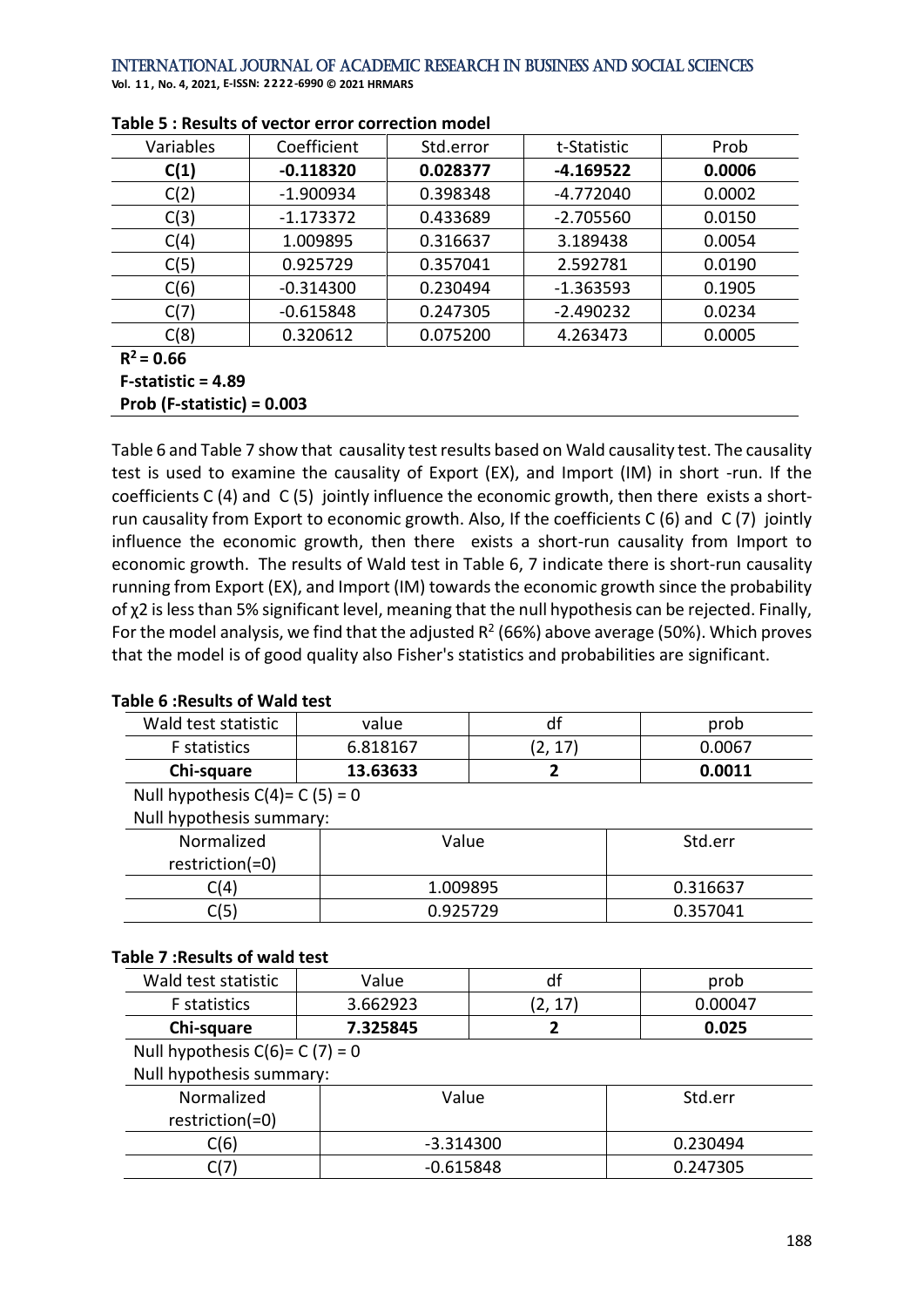**Vol. 1 1 , No. 4, 2021, E-ISSN: 2222-6990 © 2021 HRMARS**

| Variables    | Coefficient | Std.error | t-Statistic | Prob   |
|--------------|-------------|-----------|-------------|--------|
| C(1)         | $-0.118320$ | 0.028377  | $-4.169522$ | 0.0006 |
| C(2)         | $-1.900934$ | 0.398348  | $-4.772040$ | 0.0002 |
| C(3)         | $-1.173372$ | 0.433689  | $-2.705560$ | 0.0150 |
| C(4)         | 1.009895    | 0.316637  | 3.189438    | 0.0054 |
| C(5)         | 0.925729    | 0.357041  | 2.592781    | 0.0190 |
| C(6)         | $-0.314300$ | 0.230494  | $-1.363593$ | 0.1905 |
| C(7)         | $-0.615848$ | 0.247305  | $-2.490232$ | 0.0234 |
| C(8)         | 0.320612    | 0.075200  | 4.263473    | 0.0005 |
| $R^2 = 0.66$ |             |           |             |        |

#### **Table 5 : Results of vector error correction model**

**R**

**F-statistic = 4.89** 

**Prob (F-statistic) = 0.003**

Table 6 and Table 7 show that causality test results based on Wald causality test. The causality test is used to examine the causality of Export (EX), and Import (IM) in short -run. If the coefficients C (4) and C (5) jointly influence the economic growth, then there exists a shortrun causality from Export to economic growth. Also, If the coefficients C (6) and C (7) jointly influence the economic growth, then there exists a short-run causality from Import to economic growth. The results of Wald test in Table 6, 7 indicate there is short-run causality running from Export (EX), and Import (IM) towards the economic growth since the probability of χ2 is less than 5% significant level, meaning that the null hypothesis can be rejected. Finally, For the model analysis, we find that the adjusted  $R^2$  (66%) above average (50%). Which proves that the model is of good quality also Fisher's statistics and probabilities are significant.

## **Table 6 :Results of Wald test**

| Wald test statistic | value    | prob   |
|---------------------|----------|--------|
| <b>F</b> statistics | 6.818167 | 0.0067 |
| Chi-square          | 13.63633 | 0.0011 |

Null hypothesis  $C(4) = C(5) = 0$ Null hypothesis summary:

| Normalized      | Value    | Std.err  |
|-----------------|----------|----------|
| restriction(=0) |          |          |
| C(4)            | 1.009895 | 0.316637 |
| C(5)            | 0.925729 | 0.357041 |
|                 |          |          |

#### **Table 7 :Results of wald test**

| Wald test statistic | /alue    |    | prob    |
|---------------------|----------|----|---------|
| <b>F</b> statistics | 3.662923 | 17 | Ი ᲘᲘᲘ47 |
| Chi-square          | 7.325845 |    | 0.025   |

Null hypothesis  $C(6)$ = C (7) = 0

Null hypothesis summary:

| Normalized      | Value       | Std.err  |
|-----------------|-------------|----------|
| restriction(=0) |             |          |
| C(6)            | -3.314300   | 0.230494 |
| C(7             | $-0.615848$ | 0.247305 |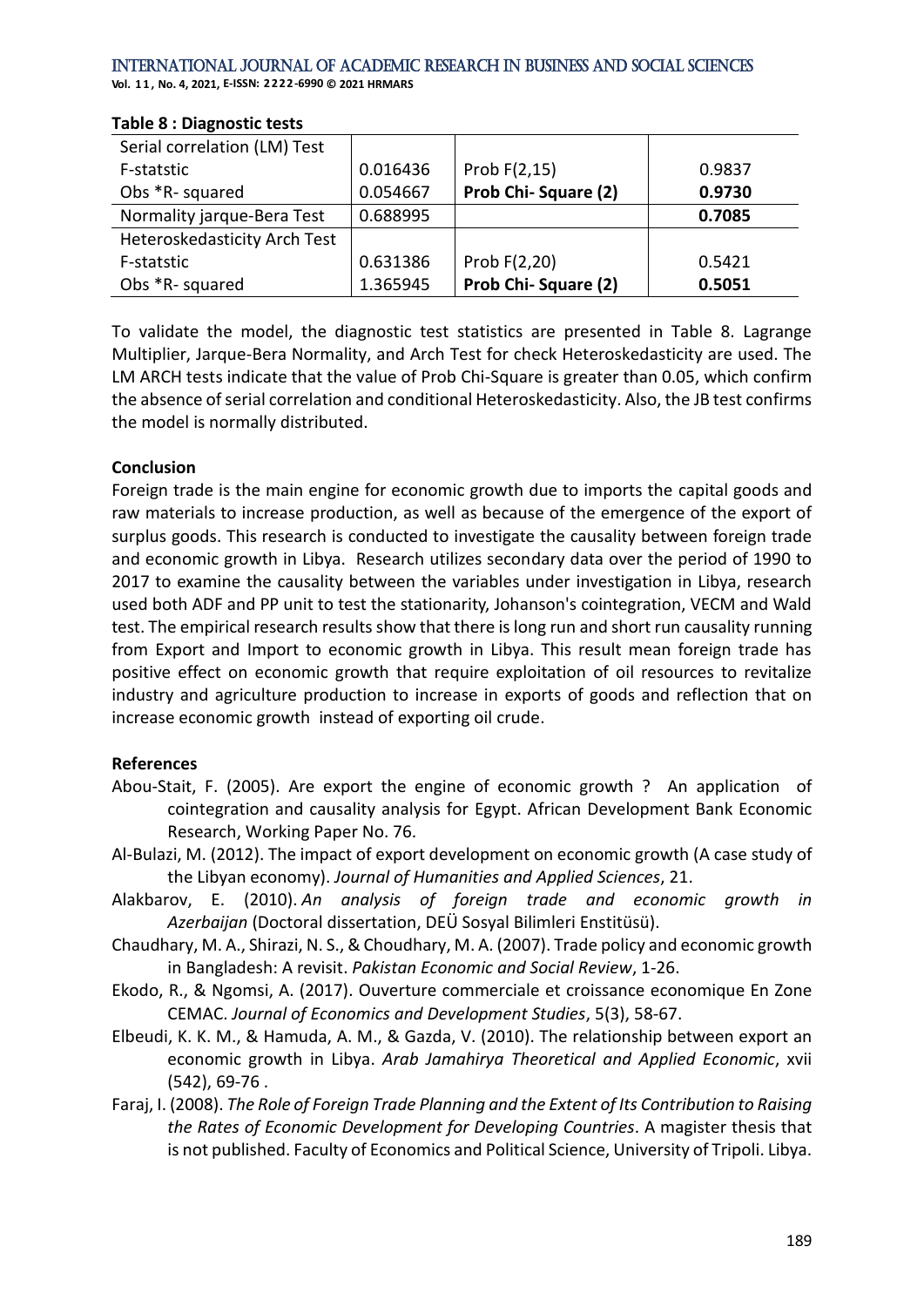#### International Journal of Academic Research in Business and Social Sciences **Vol. 1 1 , No. 4, 2021, E-ISSN: 2222-6990 © 2021 HRMARS**

| Serial correlation (LM) Test |          |                     |        |
|------------------------------|----------|---------------------|--------|
| F-statstic                   | 0.016436 | Prob F(2,15)        | 0.9837 |
| Obs *R- squared              | 0.054667 | Prob Chi-Square (2) | 0.9730 |
| Normality jarque-Bera Test   | 0.688995 |                     | 0.7085 |
| Heteroskedasticity Arch Test |          |                     |        |
| F-statstic                   | 0.631386 | Prob $F(2,20)$      | 0.5421 |
| Obs *R- squared              | 1.365945 | Prob Chi-Square (2) | 0.5051 |

#### **Table 8 : Diagnostic tests**

To validate the model, the diagnostic test statistics are presented in Table 8. Lagrange Multiplier, Jarque-Bera Normality, and Arch Test for check Heteroskedasticity are used. The LM ARCH tests indicate that the value of Prob Chi-Square is greater than 0.05, which confirm the absence of serial correlation and conditional Heteroskedasticity. Also, the JB test confirms the model is normally distributed.

### **Conclusion**

Foreign trade is the main engine for economic growth due to imports the capital goods and raw materials to increase production, as well as because of the emergence of the export of surplus goods. This research is conducted to investigate the causality between foreign trade and economic growth in Libya. Research utilizes secondary data over the period of 1990 to 2017 to examine the causality between the variables under investigation in Libya, research used both ADF and PP unit to test the stationarity, Johanson's cointegration, VECM and Wald test. The empirical research results show that there is long run and short run causality running from Export and Import to economic growth in Libya. This result mean foreign trade has positive effect on economic growth that require exploitation of oil resources to revitalize industry and agriculture production to increase in exports of goods and reflection that on increase economic growth instead of exporting oil crude .

## **References**

- Abou-Stait, F. (2005). Are export the engine of economic growth ? An application of cointegration and causality analysis for Egypt. African Development Bank Economic Research, Working Paper No. 76.
- Al-Bulazi, M. (2012). The impact of export development on economic growth (A case study of the Libyan economy). *Journal of Humanities and Applied Sciences*, 21.
- Alakbarov, E. (2010). *An analysis of foreign trade and economic growth in Azerbaijan* (Doctoral dissertation, DEÜ Sosyal Bilimleri Enstitüsü).
- Chaudhary, M. A., Shirazi, N. S., & Choudhary, M. A. (2007). Trade policy and economic growth in Bangladesh: A revisit. *Pakistan Economic and Social Review*, 1-26.
- Ekodo, R., & Ngomsi, A. (2017). Ouverture commerciale et croissance economique En Zone CEMAC. *Journal of Economics and Development Studies*, 5(3), 58-67.
- Elbeudi, K. K. M., & Hamuda, A. M., & Gazda, V. (2010). The relationship between export an economic growth in Libya. *Arab Jamahirya Theoretical and Applied Economic*, xvii (542), 69-76 .
- Faraj, I. (2008). *The Role of Foreign Trade Planning and the Extent of Its Contribution to Raising the Rates of Economic Development for Developing Countries*. A magister thesis that is not published. Faculty of Economics and Political Science, University of Tripoli. Libya.